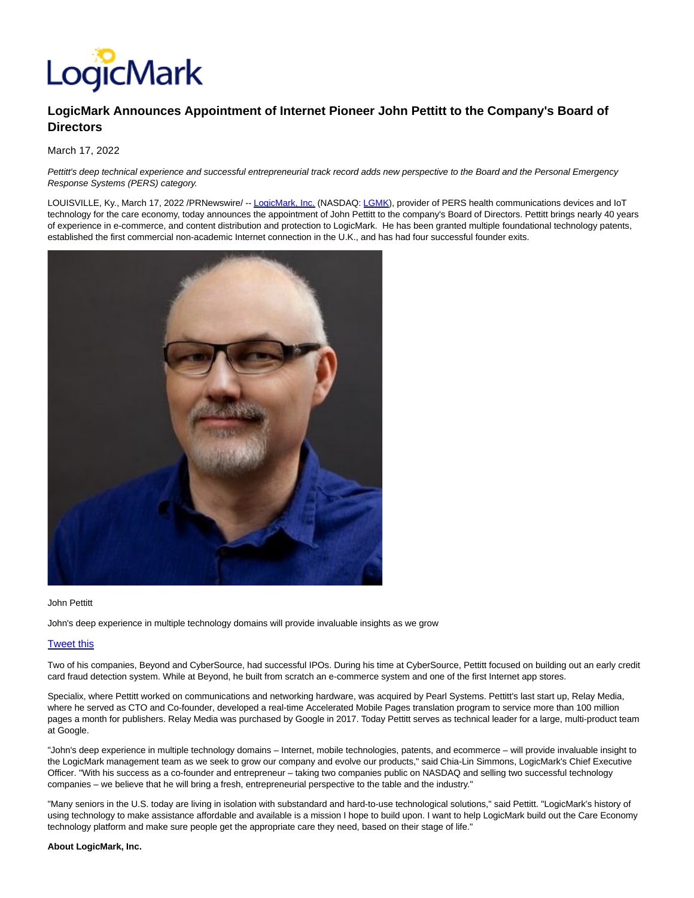

## **LogicMark Announces Appointment of Internet Pioneer John Pettitt to the Company's Board of Directors**

March 17, 2022

Pettitt's deep technical experience and successful entrepreneurial track record adds new perspective to the Board and the Personal Emergency Response Systems (PERS) category.

LOUISVILLE, Ky., March 17, 2022 /PRNewswire/ -- [LogicMark, Inc. \(](https://c212.net/c/link/?t=0&l=en&o=3475914-1&h=3282889582&u=https%3A%2F%2Fwww.logicmark.com%2F&a=LogicMark%2C+Inc.)NASDAQ: [LGMK\),](https://www.prnewswire.com/news-releases/logicmark-announces-appointment-of-internet-pioneer-john-pettitt-to-the-companys-board-of-directors-301504745.html?tc=eml_cleartime#financial-modal) provider of PERS health communications devices and IoT technology for the care economy, today announces the appointment of John Pettitt to the company's Board of Directors. Pettitt brings nearly 40 years of experience in e-commerce, and content distribution and protection to LogicMark. He has been granted multiple foundational technology patents, established the first commercial non-academic Internet connection in the U.K., and has had four successful founder exits.



John Pettitt

John's deep experience in multiple technology domains will provide invaluable insights as we grow

## [Tweet this](file:///C:/Windows/Temp/ABCpdf/void(0))

Two of his companies, Beyond and CyberSource, had successful IPOs. During his time at CyberSource, Pettitt focused on building out an early credit card fraud detection system. While at Beyond, he built from scratch an e-commerce system and one of the first Internet app stores.

Specialix, where Pettitt worked on communications and networking hardware, was acquired by Pearl Systems. Pettitt's last start up, Relay Media, where he served as CTO and Co-founder, developed a real-time Accelerated Mobile Pages translation program to service more than 100 million pages a month for publishers. Relay Media was purchased by Google in 2017. Today Pettitt serves as technical leader for a large, multi-product team at Google.

"John's deep experience in multiple technology domains – Internet, mobile technologies, patents, and ecommerce – will provide invaluable insight to the LogicMark management team as we seek to grow our company and evolve our products," said Chia-Lin Simmons, LogicMark's Chief Executive Officer. "With his success as a co-founder and entrepreneur – taking two companies public on NASDAQ and selling two successful technology companies – we believe that he will bring a fresh, entrepreneurial perspective to the table and the industry."

"Many seniors in the U.S. today are living in isolation with substandard and hard-to-use technological solutions," said Pettitt. "LogicMark's history of using technology to make assistance affordable and available is a mission I hope to build upon. I want to help LogicMark build out the Care Economy technology platform and make sure people get the appropriate care they need, based on their stage of life."

## **About LogicMark, Inc.**